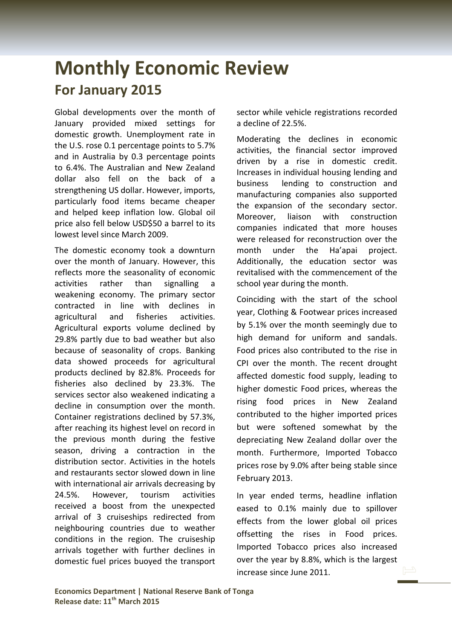## **Monthly Economic Review For January 2015**

Global developments over the month of January provided mixed settings for domestic growth. Unemployment rate in the U.S. rose 0.1 percentage points to 5.7% and in Australia by 0.3 percentage points to 6.4%. The Australian and New Zealand dollar also fell on the back of a strengthening US dollar. However, imports, particularly food items became cheaper and helped keep inflation low. Global oil price also fell below USD\$50 a barrel to its lowest level since March 2009.

The domestic economy took a downturn over the month of January. However, this reflects more the seasonality of economic activities rather than signalling a weakening economy. The primary sector contracted in line with declines in agricultural and fisheries activities. Agricultural exports volume declined by 29.8% partly due to bad weather but also because of seasonality of crops. Banking data showed proceeds for agricultural products declined by 82.8%. Proceeds for fisheries also declined by 23.3%. The services sector also weakened indicating a decline in consumption over the month. Container registrations declined by 57.3%, after reaching its highest level on record in the previous month during the festive season, driving a contraction in the distribution sector. Activities in the hotels and restaurants sector slowed down in line with international air arrivals decreasing by 24.5%. However, tourism activities received a boost from the unexpected arrival of 3 cruiseships redirected from neighbouring countries due to weather conditions in the region. The cruiseship arrivals together with further declines in domestic fuel prices buoyed the transport

sector while vehicle registrations recorded a decline of 22.5%.

Moderating the declines in economic activities, the financial sector improved driven by a rise in domestic credit. Increases in individual housing lending and business lending to construction and manufacturing companies also supported the expansion of the secondary sector. Moreover, liaison with construction companies indicated that more houses were released for reconstruction over the month under the Ha'apai project. Additionally, the education sector was revitalised with the commencement of the school year during the month.

Coinciding with the start of the school year, Clothing & Footwear prices increased by 5.1% over the month seemingly due to high demand for uniform and sandals. Food prices also contributed to the rise in CPI over the month. The recent drought affected domestic food supply, leading to higher domestic Food prices, whereas the rising food prices in New Zealand contributed to the higher imported prices but were softened somewhat by the depreciating New Zealand dollar over the month. Furthermore, Imported Tobacco prices rose by 9.0% after being stable since February 2013.

In year ended terms, headline inflation eased to 0.1% mainly due to spillover effects from the lower global oil prices offsetting the rises in Food prices. Imported Tobacco prices also increased over the year by 8.8%, which is the largest increase since June 2011.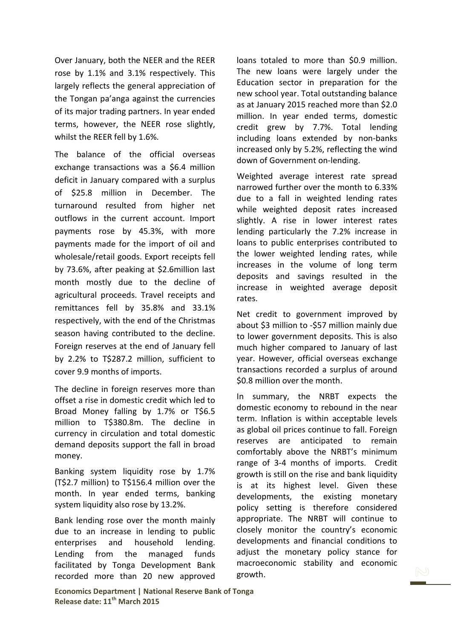Over January, both the NEER and the REER rose by 1.1% and 3.1% respectively. This largely reflects the general appreciation of the Tongan pa'anga against the currencies of its major trading partners. In year ended terms, however, the NEER rose slightly, whilst the REER fell by 1.6%.

The balance of the official overseas exchange transactions was a \$6.4 million deficit in January compared with a surplus of \$25.8 million in December. The turnaround resulted from higher net outflows in the current account. Import payments rose by 45.3%, with more payments made for the import of oil and wholesale/retail goods. Export receipts fell by 73.6%, after peaking at \$2.6million last month mostly due to the decline of agricultural proceeds. Travel receipts and remittances fell by 35.8% and 33.1% respectively, with the end of the Christmas season having contributed to the decline. Foreign reserves at the end of January fell by 2.2% to T\$287.2 million, sufficient to cover 9.9 months of imports.

The decline in foreign reserves more than offset a rise in domestic credit which led to Broad Money falling by 1.7% or T\$6.5 million to T\$380.8m. The decline in currency in circulation and total domestic demand deposits support the fall in broad money.

Banking system liquidity rose by 1.7% (T\$2.7 million) to T\$156.4 million over the month. In year ended terms, banking system liquidity also rose by 13.2%.

Bank lending rose over the month mainly due to an increase in lending to public enterprises and household lending. Lending from the managed funds facilitated by Tonga Development Bank recorded more than 20 new approved

loans totaled to more than \$0.9 million. The new loans were largely under the Education sector in preparation for the new school year. Total outstanding balance as at January 2015 reached more than \$2.0 million. In year ended terms, domestic credit grew by 7.7%. Total lending including loans extended by non-banks increased only by 5.2%, reflecting the wind down of Government on-lending.

Weighted average interest rate spread narrowed further over the month to 6.33% due to a fall in weighted lending rates while weighted deposit rates increased slightly. A rise in lower interest rates lending particularly the 7.2% increase in loans to public enterprises contributed to the lower weighted lending rates, while increases in the volume of long term deposits and savings resulted in the increase in weighted average deposit rates.

Net credit to government improved by about \$3 million to -\$57 million mainly due to lower government deposits. This is also much higher compared to January of last year. However, official overseas exchange transactions recorded a surplus of around \$0.8 million over the month.

In summary, the NRBT expects the domestic economy to rebound in the near term. Inflation is within acceptable levels as global oil prices continue to fall. Foreign reserves are anticipated to remain comfortably above the NRBT's minimum range of 3-4 months of imports. Credit growth is still on the rise and bank liquidity is at its highest level. Given these developments, the existing monetary policy setting is therefore considered appropriate. The NRBT will continue to closely monitor the country's economic developments and financial conditions to adjust the monetary policy stance for macroeconomic stability and economic growth.